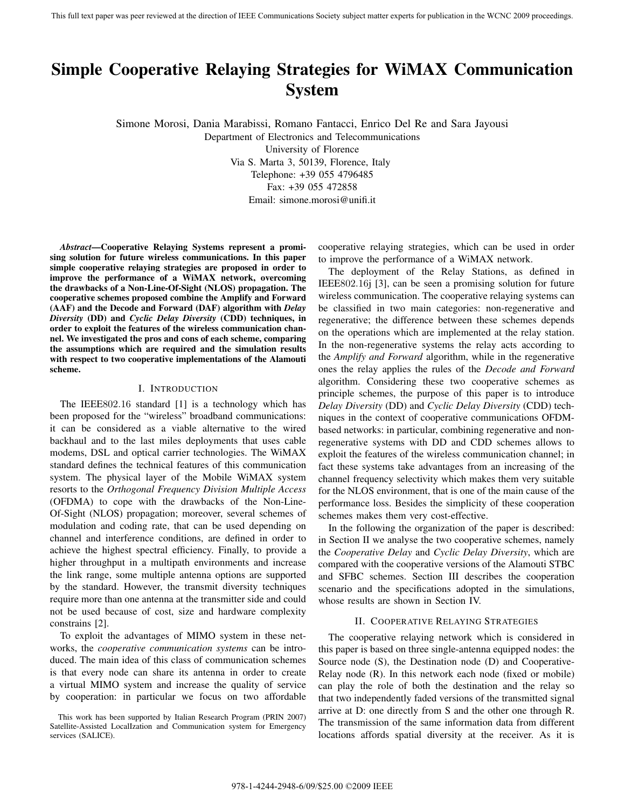# **Simple Cooperative Relaying Strategies for WiMAX Communication System**

Simone Morosi, Dania Marabissi, Romano Fantacci, Enrico Del Re and Sara Jayousi

Department of Electronics and Telecommunications

University of Florence

Via S. Marta 3, 50139, Florence, Italy Telephone: +39 055 4796485 Fax: +39 055 472858

Email: simone.morosi@unifi.it

*Abstract***—Cooperative Relaying Systems represent a promising solution for future wireless communications. In this paper simple cooperative relaying strategies are proposed in order to improve the performance of a WiMAX network, overcoming the drawbacks of a Non-Line-Of-Sight (NLOS) propagation. The cooperative schemes proposed combine the Amplify and Forward (AAF) and the Decode and Forward (DAF) algorithm with** *Delay Diversity* **(DD) and** *Cyclic Delay Diversity* **(CDD) techniques, in order to exploit the features of the wireless communication channel. We investigated the pros and cons of each scheme, comparing the assumptions which are required and the simulation results with respect to two cooperative implementations of the Alamouti scheme.**

#### I. INTRODUCTION

The IEEE802.16 standard [1] is a technology which has been proposed for the "wireless" broadband communications: it can be considered as a viable alternative to the wired backhaul and to the last miles deployments that uses cable modems, DSL and optical carrier technologies. The WiMAX standard defines the technical features of this communication system. The physical layer of the Mobile WiMAX system resorts to the *Orthogonal Frequency Division Multiple Access* (OFDMA) to cope with the drawbacks of the Non-Line-Of-Sight (NLOS) propagation; moreover, several schemes of modulation and coding rate, that can be used depending on channel and interference conditions, are defined in order to achieve the highest spectral efficiency. Finally, to provide a higher throughput in a multipath environments and increase the link range, some multiple antenna options are supported by the standard. However, the transmit diversity techniques require more than one antenna at the transmitter side and could not be used because of cost, size and hardware complexity constrains [2].

To exploit the advantages of MIMO system in these networks, the *cooperative communication systems* can be introduced. The main idea of this class of communication schemes is that every node can share its antenna in order to create a virtual MIMO system and increase the quality of service by cooperation: in particular we focus on two affordable

This work has been supported by Italian Research Program (PRIN 2007) Satellite-Assisted LocalIzation and Communication system for Emergency services (SALICE).

cooperative relaying strategies, which can be used in order to improve the performance of a WiMAX network.

The deployment of the Relay Stations, as defined in IEEE802.16j [3], can be seen a promising solution for future wireless communication. The cooperative relaying systems can be classified in two main categories: non-regenerative and regenerative; the difference between these schemes depends on the operations which are implemented at the relay station. In the non-regenerative systems the relay acts according to the *Amplify and Forward* algorithm, while in the regenerative ones the relay applies the rules of the *Decode and Forward* algorithm. Considering these two cooperative schemes as principle schemes, the purpose of this paper is to introduce *Delay Diversity* (DD) and *Cyclic Delay Diversity* (CDD) techniques in the context of cooperative communications OFDMbased networks: in particular, combining regenerative and nonregenerative systems with DD and CDD schemes allows to exploit the features of the wireless communication channel; in fact these systems take advantages from an increasing of the channel frequency selectivity which makes them very suitable for the NLOS environment, that is one of the main cause of the performance loss. Besides the simplicity of these cooperation schemes makes them very cost-effective.

In the following the organization of the paper is described: in Section II we analyse the two cooperative schemes, namely the *Cooperative Delay* and *Cyclic Delay Diversity*, which are compared with the cooperative versions of the Alamouti STBC and SFBC schemes. Section III describes the cooperation scenario and the specifications adopted in the simulations, whose results are shown in Section IV.

#### II. COOPERATIVE RELAYING STRATEGIES

The cooperative relaying network which is considered in this paper is based on three single-antenna equipped nodes: the Source node (S), the Destination node (D) and Cooperative-Relay node (R). In this network each node (fixed or mobile) can play the role of both the destination and the relay so that two independently faded versions of the transmitted signal arrive at D: one directly from S and the other one through R. The transmission of the same information data from different locations affords spatial diversity at the receiver. As it is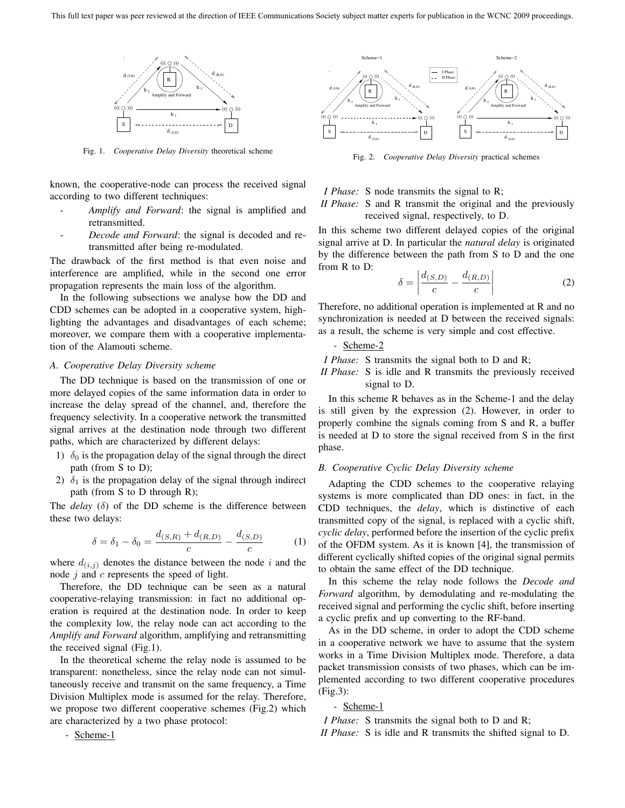

Fig. 1. *Cooperative Delay Diversity* theoretical scheme

known, the cooperative-node can process the received signal according to two different techniques:

- *Amplify and Forward*: the signal is amplified and retransmitted.
- Decode and Forward: the signal is decoded and retransmitted after being re-modulated.

The drawback of the first method is that even noise and interference are amplified, while in the second one error propagation represents the main loss of the algorithm.

In the following subsections we analyse how the DD and CDD schemes can be adopted in a cooperative system, highlighting the advantages and disadvantages of each scheme; moreover, we compare them with a cooperative implementation of the Alamouti scheme.

#### *A. Cooperative Delay Diversity scheme*

The DD technique is based on the transmission of one or more delayed copies of the same information data in order to increase the delay spread of the channel, and, therefore the frequency selectivity. In a cooperative network the transmitted signal arrives at the destination node through two different paths, which are characterized by different delays:

- 1)  $\delta_0$  is the propagation delay of the signal through the direct path (from S to D);
- 2)  $\delta_1$  is the propagation delay of the signal through indirect path (from S to D through R);

The  $delay$  ( $\delta$ ) of the DD scheme is the difference between these two delays:

$$
\delta = \delta_1 - \delta_0 = \frac{d_{(S,R)} + d_{(R,D)}}{c} - \frac{d_{(S,D)}}{c}
$$
 (1)

where  $d(i,j)$  denotes the distance between the node i and the node  $j$  and  $c$  represents the speed of light.

Therefore, the DD technique can be seen as a natural cooperative-relaying transmission: in fact no additional operation is required at the destination node. In order to keep the complexity low, the relay node can act according to the *Amplify and Forward* algorithm, amplifying and retransmitting the received signal (Fig.1).

In the theoretical scheme the relay node is assumed to be transparent: nonetheless, since the relay node can not simultaneously receive and transmit on the same frequency, a Time Division Multiplex mode is assumed for the relay. Therefore, we propose two different cooperative schemes (Fig.2) which are characterized by a two phase protocol:

- Scheme-1



Fig. 2. *Cooperative Delay Diversity* practical schemes

*I Phase:* S node transmits the signal to R;

*II Phase:* S and R transmit the original and the previously received signal, respectively, to D.

In this scheme two different delayed copies of the original signal arrive at D. In particular the *natural delay* is originated by the difference between the path from S to D and the one from R to D:

$$
\delta = \left| \frac{d_{(S,D)}}{c} - \frac{d_{(R,D)}}{c} \right| \tag{2}
$$

Therefore, no additional operation is implemented at R and no synchronization is needed at D between the received signals: as a result, the scheme is very simple and cost effective.

## - Scheme-2

*I Phase:* S transmits the signal both to D and R;

*II Phase:* S is idle and R transmits the previously received signal to D.

In this scheme R behaves as in the Scheme-1 and the delay is still given by the expression (2). However, in order to properly combine the signals coming from S and R, a buffer is needed at D to store the signal received from S in the first phase.

#### *B. Cooperative Cyclic Delay Diversity scheme*

Adapting the CDD schemes to the cooperative relaying systems is more complicated than DD ones: in fact, in the CDD techniques, the *delay*, which is distinctive of each transmitted copy of the signal, is replaced with a cyclic shift, *cyclic delay*, performed before the insertion of the cyclic prefix of the OFDM system. As it is known [4], the transmission of different cyclically shifted copies of the original signal permits to obtain the same effect of the DD technique.

In this scheme the relay node follows the *Decode and Forward* algorithm, by demodulating and re-modulating the received signal and performing the cyclic shift, before inserting a cyclic prefix and up converting to the RF-band.

As in the DD scheme, in order to adopt the CDD scheme in a cooperative network we have to assume that the system works in a Time Division Multiplex mode. Therefore, a data packet transmission consists of two phases, which can be implemented according to two different cooperative procedures (Fig.3):

## - Scheme-1

*I Phase:* S transmits the signal both to D and R;

*II Phase:* S is idle and R transmits the shifted signal to D.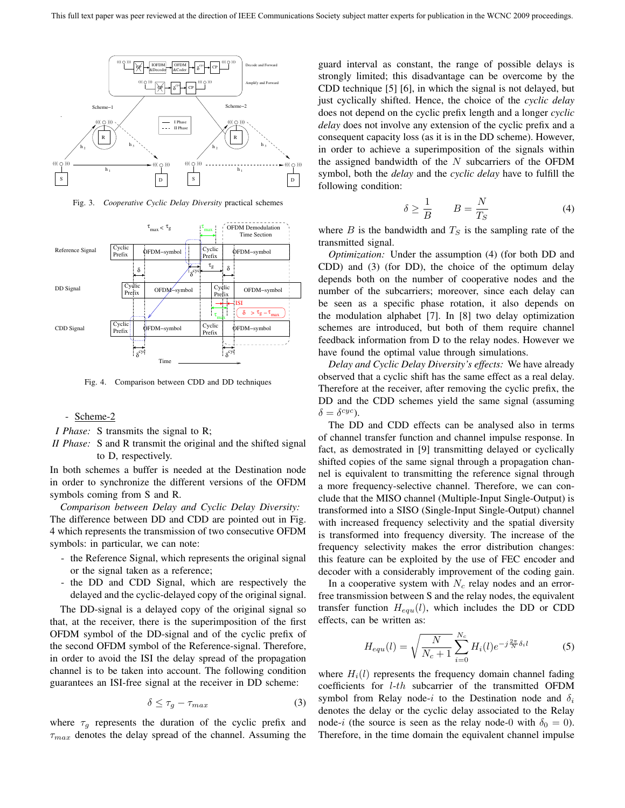

Fig. 3. *Cooperative Cyclic Delay Diversity* practical schemes



Fig. 4. Comparison between CDD and DD techniques

- Scheme-2

*I Phase:* S transmits the signal to R;

*II Phase:* S and R transmit the original and the shifted signal to D, respectively.

In both schemes a buffer is needed at the Destination node in order to synchronize the different versions of the OFDM symbols coming from S and R.

*Comparison between Delay and Cyclic Delay Diversity:* The difference between DD and CDD are pointed out in Fig. 4 which represents the transmission of two consecutive OFDM symbols: in particular, we can note:

- the Reference Signal, which represents the original signal or the signal taken as a reference;
- the DD and CDD Signal, which are respectively the delayed and the cyclic-delayed copy of the original signal.

The DD-signal is a delayed copy of the original signal so that, at the receiver, there is the superimposition of the first OFDM symbol of the DD-signal and of the cyclic prefix of the second OFDM symbol of the Reference-signal. Therefore, in order to avoid the ISI the delay spread of the propagation channel is to be taken into account. The following condition guarantees an ISI-free signal at the receiver in DD scheme:

$$
\delta \le \tau_g - \tau_{max} \tag{3}
$$

where  $\tau_g$  represents the duration of the cyclic prefix and  $\tau_{max}$  denotes the delay spread of the channel. Assuming the

guard interval as constant, the range of possible delays is strongly limited; this disadvantage can be overcome by the CDD technique [5] [6], in which the signal is not delayed, but just cyclically shifted. Hence, the choice of the *cyclic delay* does not depend on the cyclic prefix length and a longer *cyclic delay* does not involve any extension of the cyclic prefix and a consequent capacity loss (as it is in the DD scheme). However, in order to achieve a superimposition of the signals within the assigned bandwidth of the  $N$  subcarriers of the OFDM symbol, both the *delay* and the *cyclic delay* have to fulfill the following condition:

$$
\delta \ge \frac{1}{B} \qquad B = \frac{N}{T_S} \tag{4}
$$

where  $B$  is the bandwidth and  $T_S$  is the sampling rate of the transmitted signal.

*Optimization:* Under the assumption (4) (for both DD and CDD) and (3) (for DD), the choice of the optimum delay depends both on the number of cooperative nodes and the number of the subcarriers; moreover, since each delay can be seen as a specific phase rotation, it also depends on the modulation alphabet [7]. In [8] two delay optimization schemes are introduced, but both of them require channel feedback information from D to the relay nodes. However we have found the optimal value through simulations.

*Delay and Cyclic Delay Diversity's effects:* We have already observed that a cyclic shift has the same effect as a real delay. Therefore at the receiver, after removing the cyclic prefix, the DD and the CDD schemes yield the same signal (assuming  $\delta = \delta^{cyc}$ ).

The DD and CDD effects can be analysed also in terms of channel transfer function and channel impulse response. In fact, as demostrated in [9] transmitting delayed or cyclically shifted copies of the same signal through a propagation channel is equivalent to transmitting the reference signal through a more frequency-selective channel. Therefore, we can conclude that the MISO channel (Multiple-Input Single-Output) is transformed into a SISO (Single-Input Single-Output) channel with increased frequency selectivity and the spatial diversity is transformed into frequency diversity. The increase of the frequency selectivity makes the error distribution changes: this feature can be exploited by the use of FEC encoder and decoder with a considerably improvement of the coding gain.

In a cooperative system with  $N_c$  relay nodes and an errorfree transmission between S and the relay nodes, the equivalent transfer function  $H_{equ}(l)$ , which includes the DD or CDD effects, can be written as:

$$
H_{equ}(l) = \sqrt{\frac{N}{N_c + 1}} \sum_{i=0}^{N_c} H_i(l) e^{-j\frac{2\pi}{N} \delta_i l}
$$
 (5)

where  $H_i(l)$  represents the frequency domain channel fading coefficients for l-th subcarrier of the transmitted OFDM symbol from Relay node-i to the Destination node and  $\delta_i$ denotes the delay or the cyclic delay associated to the Relay node-i (the source is seen as the relay node-0 with  $\delta_0 = 0$ ). Therefore, in the time domain the equivalent channel impulse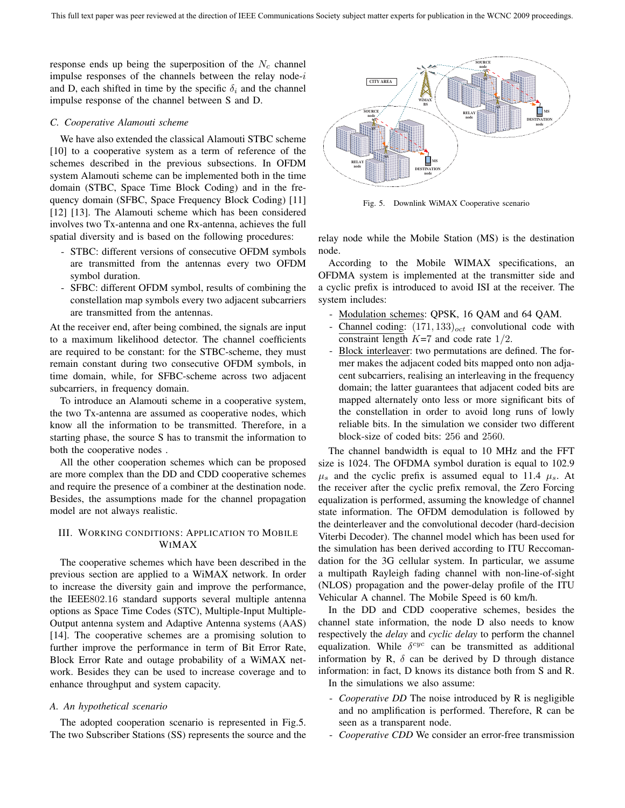response ends up being the superposition of the  $N_c$  channel impulse responses of the channels between the relay node- $i$ and D, each shifted in time by the specific  $\delta_i$  and the channel impulse response of the channel between S and D.

## *C. Cooperative Alamouti scheme*

We have also extended the classical Alamouti STBC scheme [10] to a cooperative system as a term of reference of the schemes described in the previous subsections. In OFDM system Alamouti scheme can be implemented both in the time domain (STBC, Space Time Block Coding) and in the frequency domain (SFBC, Space Frequency Block Coding) [11] [12] [13]. The Alamouti scheme which has been considered involves two Tx-antenna and one Rx-antenna, achieves the full spatial diversity and is based on the following procedures:

- STBC: different versions of consecutive OFDM symbols are transmitted from the antennas every two OFDM symbol duration.
- SFBC: different OFDM symbol, results of combining the constellation map symbols every two adjacent subcarriers are transmitted from the antennas.

At the receiver end, after being combined, the signals are input to a maximum likelihood detector. The channel coefficients are required to be constant: for the STBC-scheme, they must remain constant during two consecutive OFDM symbols, in time domain, while, for SFBC-scheme across two adjacent subcarriers, in frequency domain.

To introduce an Alamouti scheme in a cooperative system, the two Tx-antenna are assumed as cooperative nodes, which know all the information to be transmitted. Therefore, in a starting phase, the source S has to transmit the information to both the cooperative nodes .

All the other cooperation schemes which can be proposed are more complex than the DD and CDD cooperative schemes and require the presence of a combiner at the destination node. Besides, the assumptions made for the channel propagation model are not always realistic.

## III. WORKING CONDITIONS: APPLICATION TO MOBILE WIMAX

The cooperative schemes which have been described in the previous section are applied to a WiMAX network. In order to increase the diversity gain and improve the performance, the IEEE802.16 standard supports several multiple antenna options as Space Time Codes (STC), Multiple-Input Multiple-Output antenna system and Adaptive Antenna systems (AAS) [14]. The cooperative schemes are a promising solution to further improve the performance in term of Bit Error Rate, Block Error Rate and outage probability of a WiMAX network. Besides they can be used to increase coverage and to enhance throughput and system capacity.

## *A. An hypothetical scenario*

The adopted cooperation scenario is represented in Fig.5. The two Subscriber Stations (SS) represents the source and the



Fig. 5. Downlink WiMAX Cooperative scenario

relay node while the Mobile Station (MS) is the destination node.

According to the Mobile WIMAX specifications, an OFDMA system is implemented at the transmitter side and a cyclic prefix is introduced to avoid ISI at the receiver. The system includes:

- Modulation schemes: QPSK, 16 QAM and 64 QAM.
- Channel coding:  $(171, 133)_{oct}$  convolutional code with constraint length  $K=7$  and code rate  $1/2$ .
- Block interleaver: two permutations are defined. The former makes the adjacent coded bits mapped onto non adjacent subcarriers, realising an interleaving in the frequency domain; the latter guarantees that adjacent coded bits are mapped alternately onto less or more significant bits of the constellation in order to avoid long runs of lowly reliable bits. In the simulation we consider two different block-size of coded bits: 256 and 2560.

The channel bandwidth is equal to 10 MHz and the FFT size is 1024. The OFDMA symbol duration is equal to 102.9  $\mu_s$  and the cyclic prefix is assumed equal to 11.4  $\mu_s$ . At the requirements are the system of the system the receiver after the cyclic prefix removal, the Zero Forcing equalization is performed, assuming the knowledge of channel state information. The OFDM demodulation is followed by the deinterleaver and the convolutional decoder (hard-decision Viterbi Decoder). The channel model which has been used for the simulation has been derived according to ITU Reccomandation for the 3G cellular system. In particular, we assume a multipath Rayleigh fading channel with non-line-of-sight (NLOS) propagation and the power-delay profile of the ITU Vehicular A channel. The Mobile Speed is 60 km/h.

In the DD and CDD cooperative schemes, besides the channel state information, the node D also needs to know respectively the *delay* and *cyclic delay* to perform the channel equalization. While  $\delta^{cyc}$  can be transmitted as additional information by R,  $\delta$  can be derived by D through distance information: in fact, D knows its distance both from S and R. In the simulations we also assume:

- *Cooperative DD* The noise introduced by R is negligible and no amplification is performed. Therefore, R can be seen as a transparent node.
- *Cooperative CDD* We consider an error-free transmission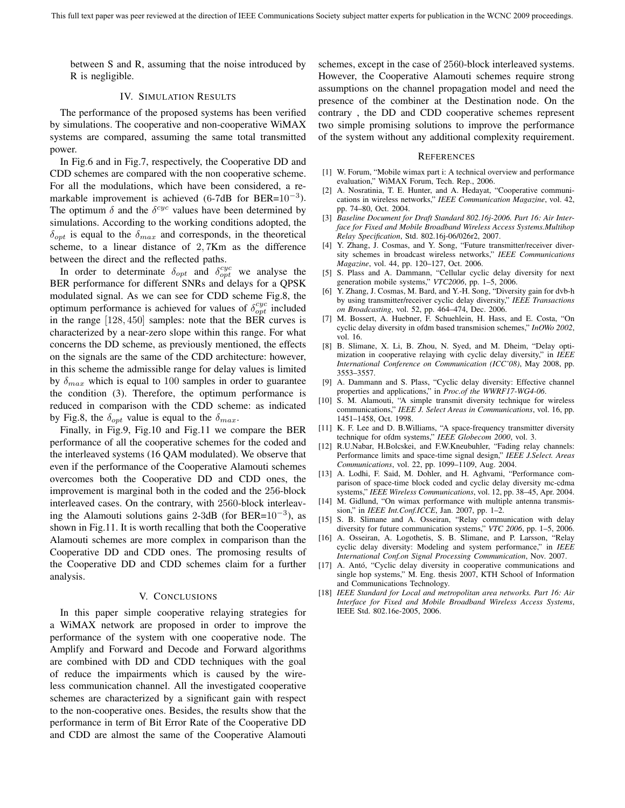between S and R, assuming that the noise introduced by R is negligible.

## IV. SIMULATION RESULTS

The performance of the proposed systems has been verified by simulations. The cooperative and non-cooperative WiMAX systems are compared, assuming the same total transmitted power.

In Fig.6 and in Fig.7, respectively, the Cooperative DD and CDD schemes are compared with the non cooperative scheme. For all the modulations, which have been considered, a remarkable improvement is achieved (6-7dB for BER=10*−*3). The optimum  $\delta$  and the  $\delta^{cyc}$  values have been determined by simulations. According to the working conditions adopted, the  $\delta_{opt}$  is equal to the  $\delta_{max}$  and corresponds, in the theoretical scheme, to a linear distance of 2, 7Km as the difference between the direct and the reflected paths.

In order to determinate  $\delta_{opt}$  and  $\delta_{opt}^{cyc}$  we analyse the  $\epsilon_{\rm B}$  performance for different SNBs and delays for a OBSK BER performance for different SNRs and delays for a QPSK modulated signal. As we can see for CDD scheme Fig.8, the optimum performance is achieved for values of  $\delta_{opt}^{cyc}$  included<br>in the range  $[128, 450]$  camples; note that the BER curves is in the range [128, 450] samples: note that the BER curves is characterized by a near-zero slope within this range. For what concerns the DD scheme, as previously mentioned, the effects on the signals are the same of the CDD architecture: however, in this scheme the admissible range for delay values is limited by  $\delta_{max}$  which is equal to 100 samples in order to guarantee the condition (3). Therefore, the optimum performance is reduced in comparison with the CDD scheme: as indicated by Fig.8, the  $\delta_{opt}$  value is equal to the  $\delta_{max}$ .

Finally, in Fig.9, Fig.10 and Fig.11 we compare the BER performance of all the cooperative schemes for the coded and the interleaved systems (16 QAM modulated). We observe that even if the performance of the Cooperative Alamouti schemes overcomes both the Cooperative DD and CDD ones, the improvement is marginal both in the coded and the 256-block interleaved cases. On the contrary, with 2560-block interleaving the Alamouti solutions gains 2-3dB (for BER=10*−*<sup>3</sup>), as shown in Fig.11. It is worth recalling that both the Cooperative Alamouti schemes are more complex in comparison than the Cooperative DD and CDD ones. The promosing results of the Cooperative DD and CDD schemes claim for a further analysis.

#### V. CONCLUSIONS

In this paper simple cooperative relaying strategies for a WiMAX network are proposed in order to improve the performance of the system with one cooperative node. The Amplify and Forward and Decode and Forward algorithms are combined with DD and CDD techniques with the goal of reduce the impairments which is caused by the wireless communication channel. All the investigated cooperative schemes are characterized by a significant gain with respect to the non-cooperative ones. Besides, the results show that the performance in term of Bit Error Rate of the Cooperative DD and CDD are almost the same of the Cooperative Alamouti schemes, except in the case of 2560-block interleaved systems. However, the Cooperative Alamouti schemes require strong assumptions on the channel propagation model and need the presence of the combiner at the Destination node. On the contrary , the DD and CDD cooperative schemes represent two simple promising solutions to improve the performance of the system without any additional complexity requirement.

#### **REFERENCES**

- [1] W. Forum, "Mobile wimax part i: A technical overview and performance evaluation," WiMAX Forum, Tech. Rep., 2006.
- [2] A. Nosratinia, T. E. Hunter, and A. Hedayat, "Cooperative communications in wireless networks," *IEEE Communication Magazine*, vol. 42, pp. 74–80, Oct. 2004.
- [3] *Baseline Document for Draft Standard 802.16j-2006. Part 16: Air Interface for Fixed and Mobile Broadband Wireless Access Systems.Multihop Relay Specification*, Std. 802.16j-06/026r2, 2007.
- [4] Y. Zhang, J. Cosmas, and Y. Song, "Future transmitter/receiver diversity schemes in broadcast wireless networks," *IEEE Communications Magazine*, vol. 44, pp. 120–127, Oct. 2006.
- [5] S. Plass and A. Dammann, "Cellular cyclic delay diversity for next generation mobile systems," *VTC2006*, pp. 1–5, 2006.
- [6] Y. Zhang, J. Cosmas, M. Bard, and Y.-H. Song, "Diversity gain for dvb-h by using transmitter/receiver cyclic delay diversity," *IEEE Transactions on Broadcasting*, vol. 52, pp. 464–474, Dec. 2006.
- [7] M. Bossert, A. Huebner, F. Schuehlein, H. Hass, and E. Costa, "On cyclic delay diversity in ofdm based transmision schemes," *InOWo 2002*, vol. 16.
- [8] B. Slimane, X. Li, B. Zhou, N. Syed, and M. Dheim, "Delay optimization in cooperative relaying with cyclic delay diversity," in *IEEE International Conference on Communication (ICC'08)*, May 2008, pp. 3553–3557.
- [9] A. Dammann and S. Plass, "Cyclic delay diversity: Effective channel properties and applications," in *Proc.of the WWRF17-WG4-06*.
- [10] S. M. Alamouti, "A simple transmit diversity technique for wireless communications," *IEEE J. Select Areas in Communications*, vol. 16, pp. 1451–1458, Oct. 1998.
- [11] K. F. Lee and D. B. Williams, "A space-frequency transmitter diversity technique for ofdm systems," *IEEE Globecom 2000*, vol. 3.
- [12] R.U.Nabar, H.Bolcskei, and F.W.Kneubuhler, "Fading relay channels: Performance limits and space-time signal design," *IEEE J.Select. Areas Communications*, vol. 22, pp. 1099–1109, Aug. 2004.
- [13] A. Lodhi, F. Said, M. Dohler, and H. Aghvami, "Performance comparison of space-time block coded and cyclic delay diversity mc-cdma systems," *IEEE Wireless Communications*, vol. 12, pp. 38–45, Apr. 2004.
- [14] M. Gidlund, "On wimax performance with multiple antenna transmission," in *IEEE Int.Conf.ICCE*, Jan. 2007, pp. 1–2.
- [15] S. B. Slimane and A. Osseiran, "Relay communication with delay diversity for future communication systems," *VTC 2006*, pp. 1–5, 2006.
- [16] A. Osseiran, A. Logothetis, S. B. Slimane, and P. Larsson, "Relay cyclic delay diversity: Modeling and system performance," in *IEEE International Conf.on Signal Processing Communication*, Nov. 2007.
- [17] A. Antó, "Cyclic delay diversity in cooperative communications and single hop systems," M. Eng. thesis 2007, KTH School of Information and Communications Technology.
- [18] *IEEE Standard for Local and metropolitan area networks. Part 16: Air Interface for Fixed and Mobile Broadband Wireless Access Systems*, IEEE Std. 802.16e-2005, 2006.